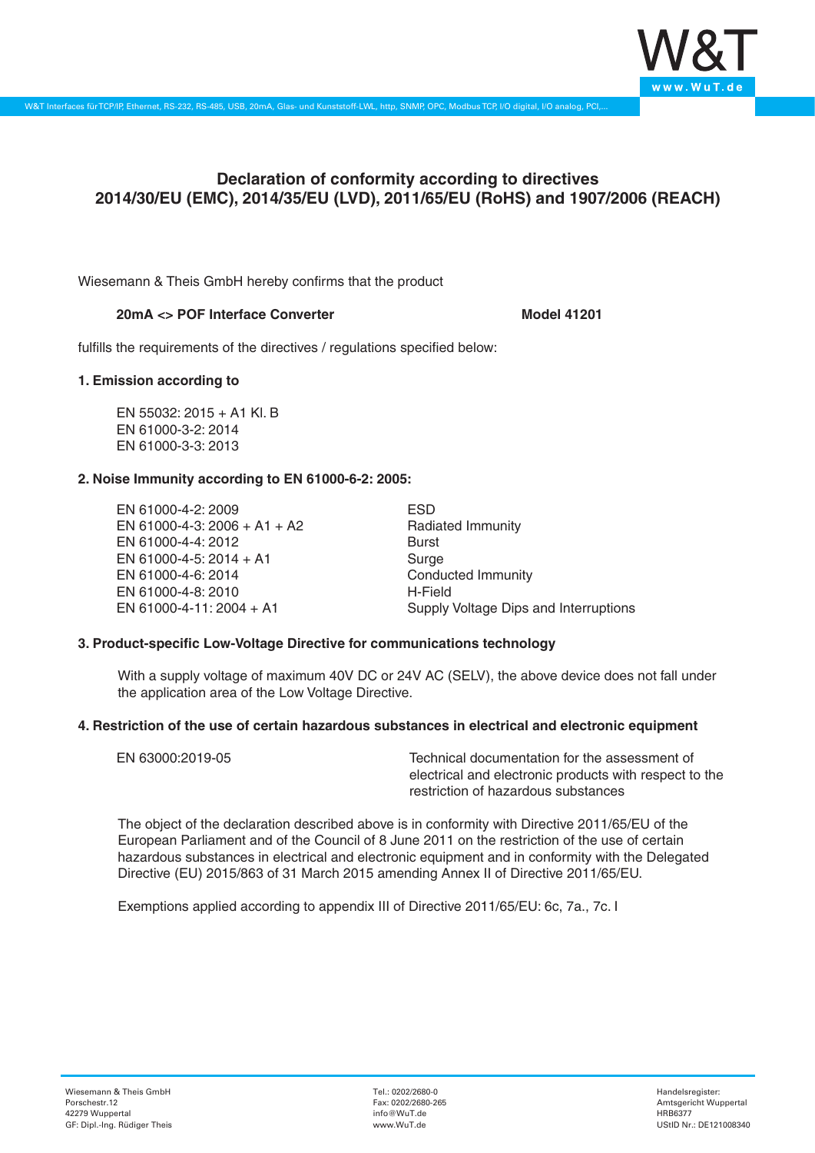

# **Declaration of conformity according to directives 2014/30/EU (EMC), 2014/35/EU (LVD), 2011/65/EU (RoHS) and 1907/2006 (REACH)**

Wiesemann & Theis GmbH hereby confirms that the product

## **20mA <> POF Interface Converter Model 41201**

fulfills the requirements of the directives / regulations specified below:

### **1. Emission according to**

EN 55032: 2015 + A1 Kl. B EN 61000-3-2: 2014 EN 61000-3-3: 2013

## **2. Noise Immunity according to EN 61000-6-2: 2005:**

EN 61000-4-2: 2009 EN 61000-4-3: 2006 + A1 + A2 EN 61000-4-4: 2012 EN 61000-4-5: 2014 + A1 EN 61000-4-6: 2014 EN 61000-4-8: 2010 EN 61000-4-11: 2004 + A1

ESD Radiated Immunity Burst Surge Conducted Immunity H-Field Supply Voltage Dips and Interruptions

## **3. Product-specific Low-Voltage Directive for communications technology**

With a supply voltage of maximum 40V DC or 24V AC (SELV), the above device does not fall under the application area of the Low Voltage Directive.

#### **4. Restriction of the use of certain hazardous substances in electrical and electronic equipment**

| EN 63000:2019-05 | Technical documentation for the assessment of          |
|------------------|--------------------------------------------------------|
|                  | electrical and electronic products with respect to the |
|                  | restriction of hazardous substances                    |

The object of the declaration described above is in conformity with Directive 2011/65/EU of the European Parliament and of the Council of 8 June 2011 on the restriction of the use of certain hazardous substances in electrical and electronic equipment and in conformity with the Delegated Directive (EU) 2015/863 of 31 March 2015 amending Annex II of Directive 2011/65/EU.

Exemptions applied according to appendix III of Directive 2011/65/EU: 6c, 7a., 7c. I